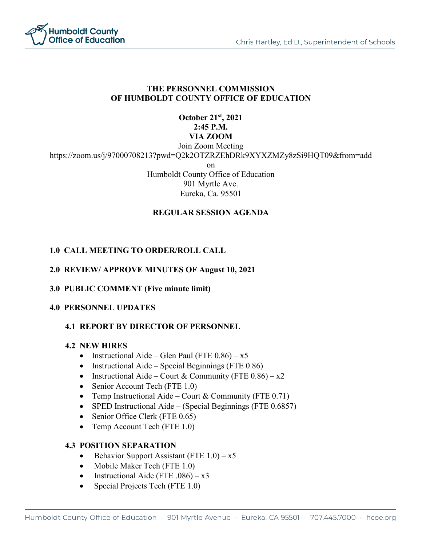



#### **THE PERSONNEL COMMISSION OF HUMBOLDT COUNTY OFFICE OF EDUCATION**

# **October 21st, 2021 2:45 P.M. VIA ZOOM**

Join Zoom Meeting [https://zoom.us/j/97000708213?pwd=Q2k2OTZRZEhDRk9XYXZMZy8zSi9HQT09&from=add](https://zoom.us/j/7921160412?pwd=dlZsZHcyeGZtMEFuVUxIU3pjVzVkdz09&from=addon)

[on](https://zoom.us/j/7921160412?pwd=dlZsZHcyeGZtMEFuVUxIU3pjVzVkdz09&from=addon)

Humboldt County Office of Education 901 Myrtle Ave. Eureka, Ca. 95501

# **REGULAR SESSION AGENDA**

# **1.0 CALL MEETING TO ORDER/ROLL CALL**

### **2.0 REVIEW/ APPROVE MINUTES OF August 10, 2021**

### **3.0 PUBLIC COMMENT (Five minute limit)**

#### **4.0 PERSONNEL UPDATES**

### **4.1 REPORT BY DIRECTOR OF PERSONNEL**

#### **4.2 NEW HIRES**

- Instructional Aide Glen Paul (FTE  $0.86$ ) x5
- Instructional Aide Special Beginnings (FTE 0.86)
- Instructional Aide Court & Community (FTE  $0.86$ ) x2
- Senior Account Tech (FTE 1.0)
- Temp Instructional Aide Court & Community (FTE  $0.71$ )
- SPED Instructional Aide (Special Beginnings (FTE 0.6857)
- Senior Office Clerk (FTE 0.65)
- Temp Account Tech (FTE 1.0)

#### **4.3 POSITION SEPARATION**

- Behavior Support Assistant (FTE  $1.0$ )  $x5$
- Mobile Maker Tech (FTE 1.0)
- Instructional Aide (FTE  $.086 x3$
- Special Projects Tech (FTE 1.0)